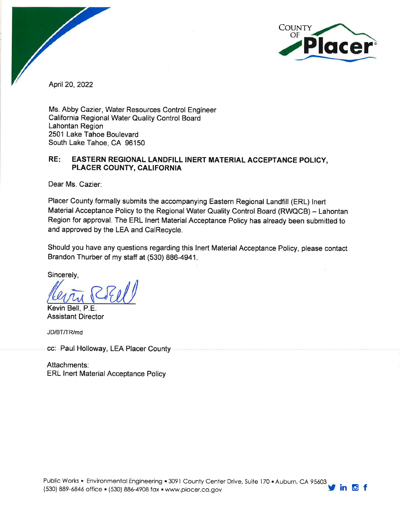

April 20, 2022

Ms. Abby Cazier, Water Resources Control Engineer California Regional Water Quality Control Board Lahontan Region 2501 Lake Tahoe Boulevard South Lake Tahoe, CA 96150

#### RE: EASTERN REGIONAL LANDFILL INERT MATERIAL ACCEPTANCE POLICY, PLACER COUNTY, CALIFORNIA

Dear Ms. Cazier:

Placer County formally submits the accompanying Eastern Regional Landfill (ERL) Inert Material Acceptance Policy to the Regional Water Quality Control Board (RWQCB) - Lahontan Region for approval. The ERL Inert Material Acceptance Policy has already been submitted to and approved by the LEA and CalRecycle.

Should you have any questions regarding this Inert Material Acceptance Policy, please contact Brandon Thurber of my staff at (530) 886-4941.

Sincerely.

Kevin Bell, P.E.

**Assistant Director** 

JD/BT/TR/md

cc: Paul Holloway, LEA Placer County

Attachments: **ERL Inert Material Acceptance Policy**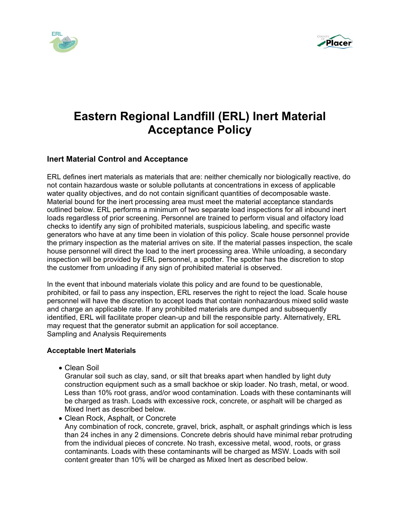



# **Eastern Regional Landfill (ERL) Inert Material Acceptance Policy**

#### **Inert Material Control and Acceptance**

ERL defines inert materials as materials that are: neither chemically nor biologically reactive, do not contain hazardous waste or soluble pollutants at concentrations in excess of applicable water quality objectives, and do not contain significant quantities of decomposable waste. Material bound for the inert processing area must meet the material acceptance standards outlined below. ERL performs a minimum of two separate load inspections for all inbound inert loads regardless of prior screening. Personnel are trained to perform visual and olfactory load checks to identify any sign of prohibited materials, suspicious labeling, and specific waste generators who have at any time been in violation of this policy. Scale house personnel provide the primary inspection as the material arrives on site. If the material passes inspection, the scale house personnel will direct the load to the inert processing area. While unloading, a secondary inspection will be provided by ERL personnel, a spotter. The spotter has the discretion to stop the customer from unloading if any sign of prohibited material is observed.

In the event that inbound materials violate this policy and are found to be questionable, prohibited, or fail to pass any inspection, ERL reserves the right to reject the load. Scale house personnel will have the discretion to accept loads that contain nonhazardous mixed solid waste and charge an applicable rate. If any prohibited materials are dumped and subsequently identified, ERL will facilitate proper clean-up and bill the responsible party. Alternatively, ERL may request that the generator submit an application for soil acceptance. Sampling and Analysis Requirements

#### **Acceptable Inert Materials**

Clean Soil

 Granular soil such as clay, sand, or silt that breaks apart when handled by light duty construction equipment such as a small backhoe or skip loader. No trash, metal, or wood. Less than 10% root grass, and/or wood contamination. Loads with these contaminants will be charged as trash. Loads with excessive rock, concrete, or asphalt will be charged as Mixed Inert as described below.

 Clean Rock, Asphalt, or Concrete Any combination of rock, concrete, gravel, brick, asphalt, or asphalt grindings which is less than 24 inches in any 2 dimensions. Concrete debris should have minimal rebar protruding from the individual pieces of concrete. No trash, excessive metal, wood, roots, or grass contaminants. Loads with these contaminants will be charged as MSW. Loads with soil content greater than 10% will be charged as Mixed Inert as described below.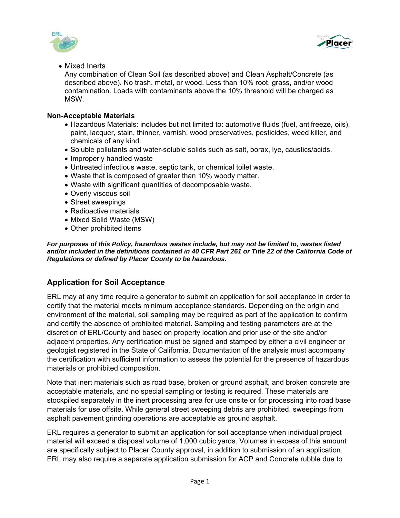



Mixed Inerts

Any combination of Clean Soil (as described above) and Clean Asphalt/Concrete (as described above). No trash, metal, or wood. Less than 10% root, grass, and/or wood contamination. Loads with contaminants above the 10% threshold will be charged as MSW.

#### **Non-Acceptable Materials**

- Hazardous Materials: includes but not limited to: automotive fluids (fuel, antifreeze, oils), paint, lacquer, stain, thinner, varnish, wood preservatives, pesticides, weed killer, and chemicals of any kind.
- Soluble pollutants and water-soluble solids such as salt, borax, lye, caustics/acids.
- Improperly handled waste
- Untreated infectious waste, septic tank, or chemical toilet waste.
- Waste that is composed of greater than 10% woody matter.
- Waste with significant quantities of decomposable waste.
- Overly viscous soil
- Street sweepings
- Radioactive materials
- Mixed Solid Waste (MSW)
- Other prohibited items

*For purposes of this Policy, hazardous wastes include, but may not be limited to, wastes listed*  and/or included in the definitions contained in 40 CFR Part 261 or Title 22 of the California Code of *Regulations or defined by Placer County to be hazardous.* 

### **Application for Soil Acceptance**

ERL may at any time require a generator to submit an application for soil acceptance in order to certify that the material meets minimum acceptance standards. Depending on the origin and environment of the material, soil sampling may be required as part of the application to confirm and certify the absence of prohibited material. Sampling and testing parameters are at the discretion of ERL/County and based on property location and prior use of the site and/or adjacent properties. Any certification must be signed and stamped by either a civil engineer or geologist registered in the State of California. Documentation of the analysis must accompany the certification with sufficient information to assess the potential for the presence of hazardous materials or prohibited composition.

Note that inert materials such as road base, broken or ground asphalt, and broken concrete are acceptable materials, and no special sampling or testing is required. These materials are stockpiled separately in the inert processing area for use onsite or for processing into road base materials for use offsite. While general street sweeping debris are prohibited, sweepings from asphalt pavement grinding operations are acceptable as ground asphalt.

ERL requires a generator to submit an application for soil acceptance when individual project material will exceed a disposal volume of 1,000 cubic yards. Volumes in excess of this amount are specifically subject to Placer County approval, in addition to submission of an application. ERL may also require a separate application submission for ACP and Concrete rubble due to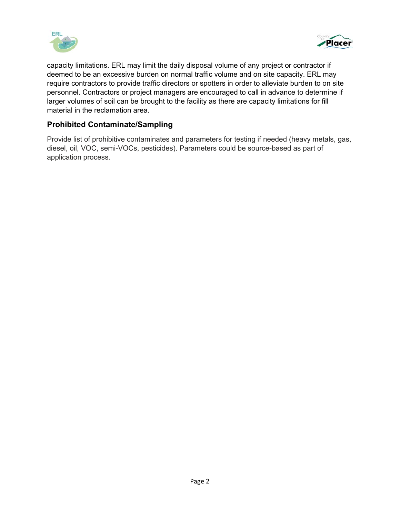



capacity limitations. ERL may limit the daily disposal volume of any project or contractor if deemed to be an excessive burden on normal traffic volume and on site capacity. ERL may require contractors to provide traffic directors or spotters in order to alleviate burden to on site personnel. Contractors or project managers are encouraged to call in advance to determine if larger volumes of soil can be brought to the facility as there are capacity limitations for fill material in the reclamation area.

#### **Prohibited Contaminate/Sampling**

Provide list of prohibitive contaminates and parameters for testing if needed (heavy metals, gas, diesel, oil, VOC, semi-VOCs, pesticides). Parameters could be source-based as part of application process.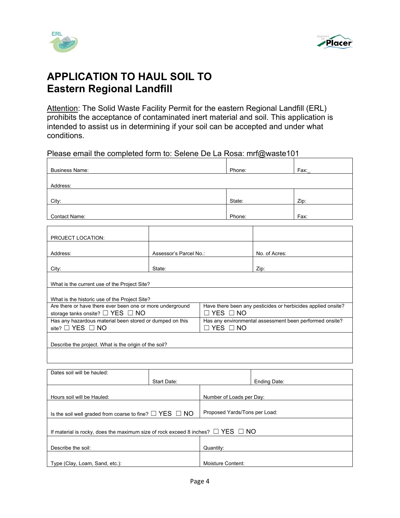



## **APPLICATION TO HAUL SOIL TO Eastern Regional Landfill**

Attention: The Solid Waste Facility Permit for the eastern Regional Landfill (ERL) prohibits the acceptance of contaminated inert material and soil. This application is intended to assist us in determining if your soil can be accepted and under what conditions.

#### Please email the completed form to: Selene De La Rosa: mrf@waste101

| <b>Business Name:</b>                                                                                  |                        |                          | Phone:                                                                               |               | Fax: |  |
|--------------------------------------------------------------------------------------------------------|------------------------|--------------------------|--------------------------------------------------------------------------------------|---------------|------|--|
| Address:                                                                                               |                        |                          |                                                                                      |               |      |  |
|                                                                                                        |                        |                          |                                                                                      |               |      |  |
| City:                                                                                                  |                        |                          | State:                                                                               |               | Zip: |  |
| <b>Contact Name:</b>                                                                                   |                        |                          | Phone:                                                                               |               | Fax: |  |
|                                                                                                        |                        |                          |                                                                                      |               |      |  |
| PROJECT LOCATION:                                                                                      |                        |                          |                                                                                      |               |      |  |
| Address:                                                                                               | Assessor's Parcel No.: |                          |                                                                                      | No. of Acres: |      |  |
| City:                                                                                                  | State:                 |                          |                                                                                      | Zip:          |      |  |
|                                                                                                        |                        |                          |                                                                                      |               |      |  |
| What is the current use of the Project Site?                                                           |                        |                          |                                                                                      |               |      |  |
| What is the historic use of the Project Site?                                                          |                        |                          |                                                                                      |               |      |  |
| Are there or have there ever been one or more underground                                              |                        |                          | Have there been any pesticides or herbicides applied onsite?<br>$\Box$ YES $\Box$ NO |               |      |  |
| storage tanks onsite? $\Box$ YES $\Box$ NO<br>Has any hazardous material been stored or dumped on this |                        |                          | Has any environmental assessment been performed onsite?                              |               |      |  |
| site? $\Box$ YES $\Box$ NO                                                                             |                        |                          | $\Box$ YES $\Box$ NO                                                                 |               |      |  |
|                                                                                                        |                        |                          |                                                                                      |               |      |  |
| Describe the project. What is the origin of the soil?                                                  |                        |                          |                                                                                      |               |      |  |
|                                                                                                        |                        |                          |                                                                                      |               |      |  |
| Dates soil will be hauled:                                                                             |                        |                          |                                                                                      |               |      |  |
|                                                                                                        | Start Date:            |                          | Ending Date:                                                                         |               |      |  |
| Hours soil will be Hauled:                                                                             |                        | Number of Loads per Day: |                                                                                      |               |      |  |
|                                                                                                        |                        |                          |                                                                                      |               |      |  |

| If material is rocky, does the maximum size of rock exceed 8 inches? $\Box$ YES $\Box$ NO |                   |  |  |
|-------------------------------------------------------------------------------------------|-------------------|--|--|
|                                                                                           |                   |  |  |
| Describe the soil:                                                                        | Quantity:         |  |  |
|                                                                                           |                   |  |  |
| Type (Clay, Loam, Sand, etc.):                                                            | Moisture Content: |  |  |

Is the soil well graded from coarse to fine?  $□$  YES  $□$  NO Proposed Yards/Tons per Load: